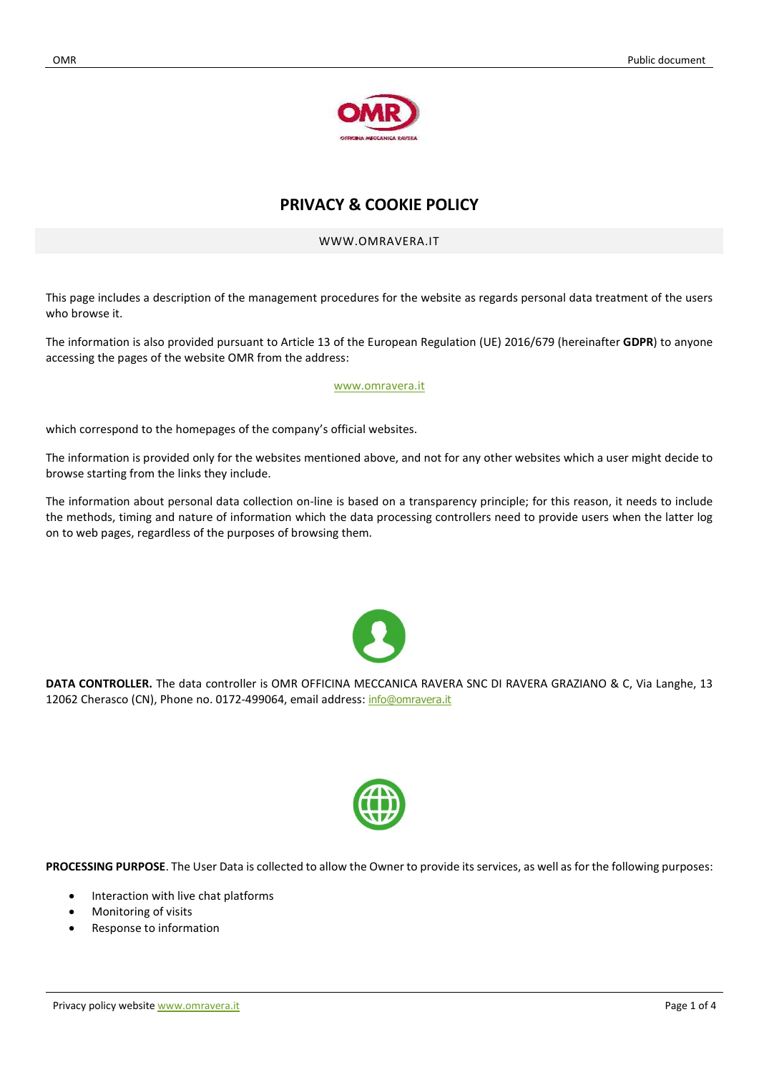

# PRIVACY & COOKIE POLICY

## WWW.OMRAVERA.IT

This page includes a description of the management procedures for the website as regards personal data treatment of the users who browse it.

The information is also provided pursuant to Article 13 of the European Regulation (UE) 2016/679 (hereinafter GDPR) to anyone accessing the pages of the website OMR from the address:

#### www.omravera.it

which correspond to the homepages of the company's official websites.

The information is provided only for the websites mentioned above, and not for any other websites which a user might decide to browse starting from the links they include.

The information about personal data collection on-line is based on a transparency principle; for this reason, it needs to include the methods, timing and nature of information which the data processing controllers need to provide users when the latter log on to web pages, regardless of the purposes of browsing them.



DATA CONTROLLER. The data controller is OMR OFFICINA MECCANICA RAVERA SNC DI RAVERA GRAZIANO & C, Via Langhe, 13 12062 Cherasco (CN), Phone no. 0172-499064, email address: info@omravera.it



PROCESSING PURPOSE. The User Data is collected to allow the Owner to provide its services, as well as for the following purposes:

- Interaction with live chat platforms
- Monitoring of visits
- Response to information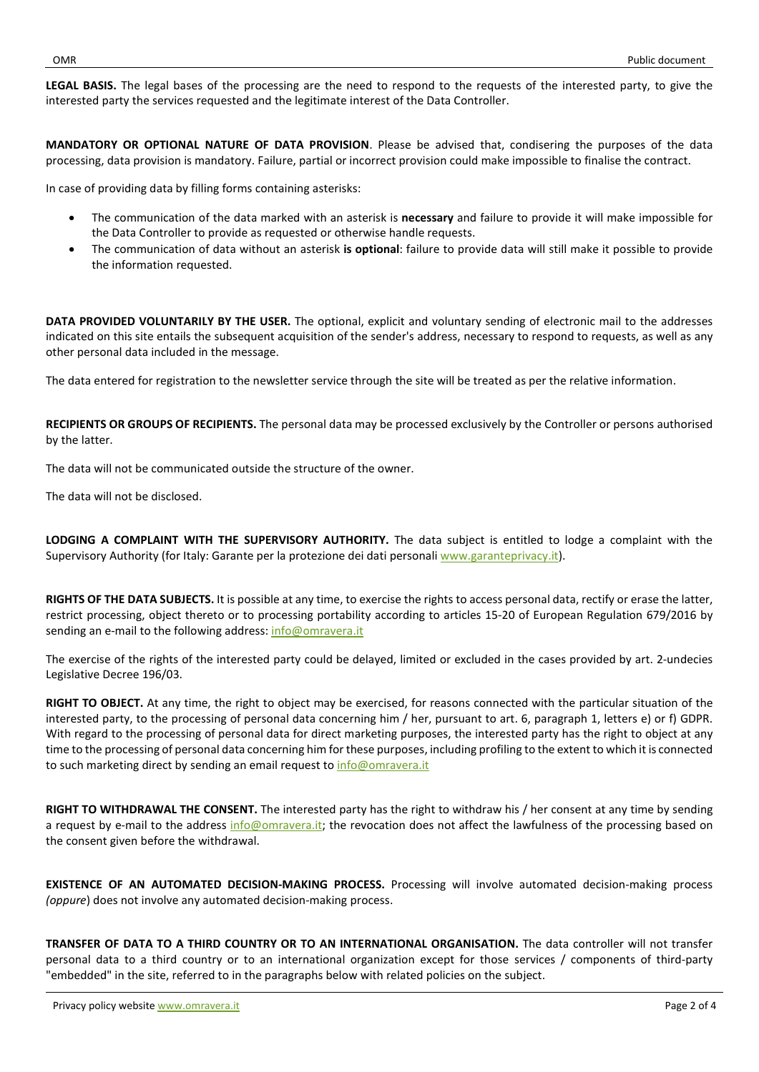LEGAL BASIS. The legal bases of the processing are the need to respond to the requests of the interested party, to give the interested party the services requested and the legitimate interest of the Data Controller.

MANDATORY OR OPTIONAL NATURE OF DATA PROVISION. Please be advised that, condisering the purposes of the data processing, data provision is mandatory. Failure, partial or incorrect provision could make impossible to finalise the contract.

In case of providing data by filling forms containing asterisks:

- The communication of the data marked with an asterisk is necessary and failure to provide it will make impossible for the Data Controller to provide as requested or otherwise handle requests.
- The communication of data without an asterisk is optional: failure to provide data will still make it possible to provide the information requested.

DATA PROVIDED VOLUNTARILY BY THE USER. The optional, explicit and voluntary sending of electronic mail to the addresses indicated on this site entails the subsequent acquisition of the sender's address, necessary to respond to requests, as well as any other personal data included in the message.

The data entered for registration to the newsletter service through the site will be treated as per the relative information.

RECIPIENTS OR GROUPS OF RECIPIENTS. The personal data may be processed exclusively by the Controller or persons authorised by the latter.

The data will not be communicated outside the structure of the owner.

The data will not be disclosed.

LODGING A COMPLAINT WITH THE SUPERVISORY AUTHORITY. The data subject is entitled to lodge a complaint with the Supervisory Authority (for Italy: Garante per la protezione dei dati personali www.garanteprivacy.it).

RIGHTS OF THE DATA SUBJECTS. It is possible at any time, to exercise the rights to access personal data, rectify or erase the latter, restrict processing, object thereto or to processing portability according to articles 15-20 of European Regulation 679/2016 by sending an e-mail to the following address: info@omravera.it

The exercise of the rights of the interested party could be delayed, limited or excluded in the cases provided by art. 2-undecies Legislative Decree 196/03.

RIGHT TO OBJECT. At any time, the right to object may be exercised, for reasons connected with the particular situation of the interested party, to the processing of personal data concerning him / her, pursuant to art. 6, paragraph 1, letters e) or f) GDPR. With regard to the processing of personal data for direct marketing purposes, the interested party has the right to object at any time to the processing of personal data concerning him for these purposes, including profiling to the extent to which it is connected to such marketing direct by sending an email request to info@omravera.it

RIGHT TO WITHDRAWAL THE CONSENT. The interested party has the right to withdraw his / her consent at any time by sending a request by e-mail to the address info@omravera.it; the revocation does not affect the lawfulness of the processing based on the consent given before the withdrawal.

EXISTENCE OF AN AUTOMATED DECISION-MAKING PROCESS. Processing will involve automated decision-making process (oppure) does not involve any automated decision-making process.

TRANSFER OF DATA TO A THIRD COUNTRY OR TO AN INTERNATIONAL ORGANISATION. The data controller will not transfer personal data to a third country or to an international organization except for those services / components of third-party "embedded" in the site, referred to in the paragraphs below with related policies on the subject.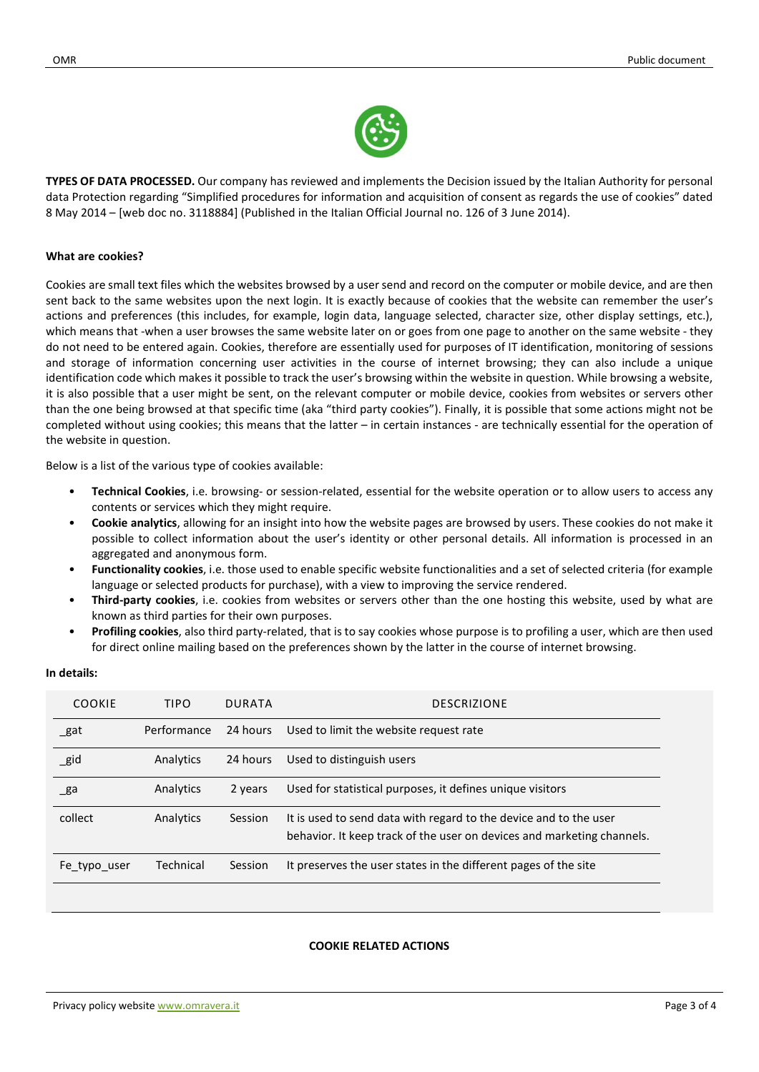

TYPES OF DATA PROCESSED. Our company has reviewed and implements the Decision issued by the Italian Authority for personal data Protection regarding "Simplified procedures for information and acquisition of consent as regards the use of cookies" dated 8 May 2014 – [web doc no. 3118884] (Published in the Italian Official Journal no. 126 of 3 June 2014).

#### What are cookies?

Cookies are small text files which the websites browsed by a user send and record on the computer or mobile device, and are then sent back to the same websites upon the next login. It is exactly because of cookies that the website can remember the user's actions and preferences (this includes, for example, login data, language selected, character size, other display settings, etc.), which means that -when a user browses the same website later on or goes from one page to another on the same website - they do not need to be entered again. Cookies, therefore are essentially used for purposes of IT identification, monitoring of sessions and storage of information concerning user activities in the course of internet browsing; they can also include a unique identification code which makes it possible to track the user's browsing within the website in question. While browsing a website, it is also possible that a user might be sent, on the relevant computer or mobile device, cookies from websites or servers other than the one being browsed at that specific time (aka "third party cookies"). Finally, it is possible that some actions might not be completed without using cookies; this means that the latter – in certain instances - are technically essential for the operation of the website in question.

Below is a list of the various type of cookies available:

- Technical Cookies, i.e. browsing- or session-related, essential for the website operation or to allow users to access any contents or services which they might require.
- Cookie analytics, allowing for an insight into how the website pages are browsed by users. These cookies do not make it possible to collect information about the user's identity or other personal details. All information is processed in an aggregated and anonymous form.
- Functionality cookies, i.e. those used to enable specific website functionalities and a set of selected criteria (for example language or selected products for purchase), with a view to improving the service rendered.
- Third-party cookies, i.e. cookies from websites or servers other than the one hosting this website, used by what are known as third parties for their own purposes.
- Profiling cookies, also third party-related, that is to say cookies whose purpose is to profiling a user, which are then used for direct online mailing based on the preferences shown by the latter in the course of internet browsing.

| <b>COOKIE</b>  | <b>TIPO</b> | <b>DURATA</b> | <b>DESCRIZIONE</b>                                                                                                                          |
|----------------|-------------|---------------|---------------------------------------------------------------------------------------------------------------------------------------------|
| _gat           | Performance | 24 hours      | Used to limit the website request rate                                                                                                      |
| $\_gid$        | Analytics   | 24 hours      | Used to distinguish users                                                                                                                   |
| $\mathsf{g}$ a | Analytics   | 2 years       | Used for statistical purposes, it defines unique visitors                                                                                   |
| collect        | Analytics   | Session       | It is used to send data with regard to the device and to the user<br>behavior. It keep track of the user on devices and marketing channels. |
| Fe typo user   | Technical   | Session       | It preserves the user states in the different pages of the site                                                                             |

#### In details:

#### COOKIE RELATED ACTIONS